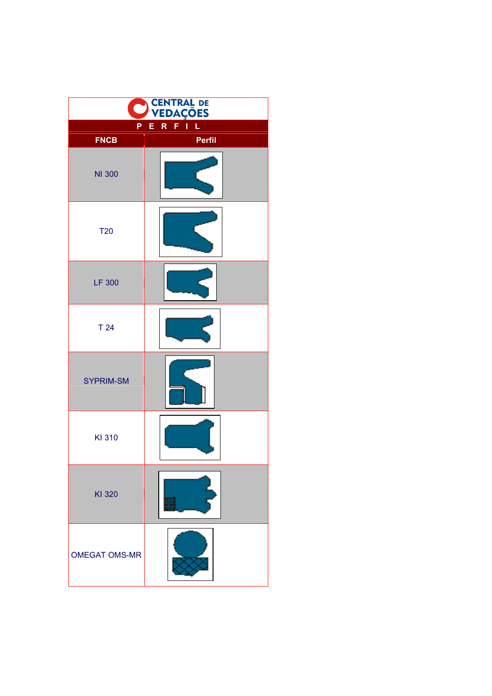|                              | CENTRAL DE<br>VEDAÇÕES |
|------------------------------|------------------------|
| R<br>Ĺ<br>Ī<br>P<br>Е<br>F   |                        |
| <b>FNCB</b><br><b>NI 300</b> | Perfil                 |
| <b>T20</b>                   |                        |
| <b>LF 300</b>                |                        |
| T <sub>24</sub>              |                        |
| <b>SYPRIM-SM</b>             |                        |
| KI 310                       |                        |
| KI 320                       |                        |
| <b>OMEGAT OMS-MR</b>         |                        |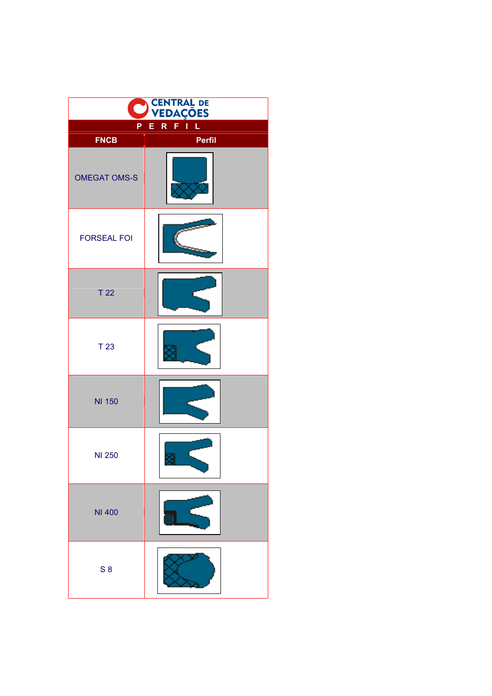|                            | <b>CENTRAL DE<br/>VEDAÇÕES</b> |
|----------------------------|--------------------------------|
| R<br>Ĺ<br>Ë<br>ī<br>P<br>F |                                |
| <b>FNCB</b>                | <b>Perfil</b>                  |
| <b>OMEGAT OMS-S</b>        |                                |
| <b>FORSEAL FOI</b>         |                                |
| T <sub>22</sub>            |                                |
| T <sub>23</sub>            |                                |
| <b>NI 150</b>              |                                |
| <b>NI 250</b>              |                                |
| <b>NI 400</b>              |                                |
| S <sub>8</sub>             |                                |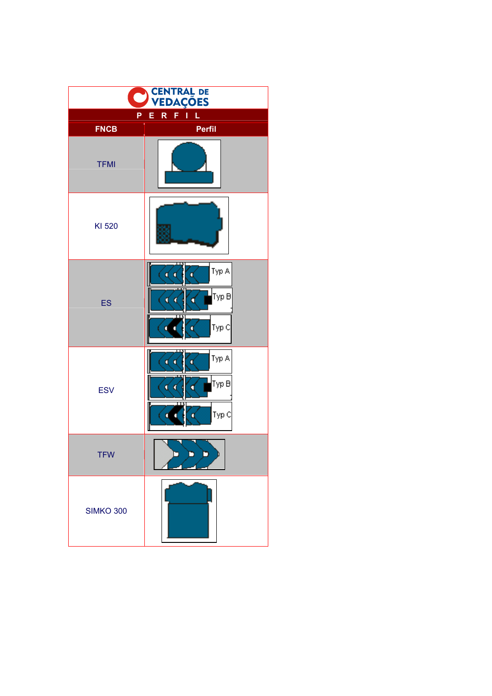| <b>CENTRAL DE</b><br><b>VEDAÇÕES</b> |                                                                 |
|--------------------------------------|-----------------------------------------------------------------|
| P                                    | R<br>F.<br>Ī<br>L<br>E                                          |
| <b>FNCB</b>                          | Perfil                                                          |
| <b>TFMI</b>                          |                                                                 |
| KI 520                               |                                                                 |
| ES                                   | Typ A<br>α α<br>ď<br>Тур В<br>ď<br>C<br>a<br>Typ C<br>٥<br>п    |
| <b>ESV</b>                           | Typ A<br>ď<br>Œ<br>٥<br>Тур В<br>d<br>п<br>Typ C<br>d<br>п<br>п |
| <b>TFW</b>                           |                                                                 |
| <b>SIMKO 300</b>                     |                                                                 |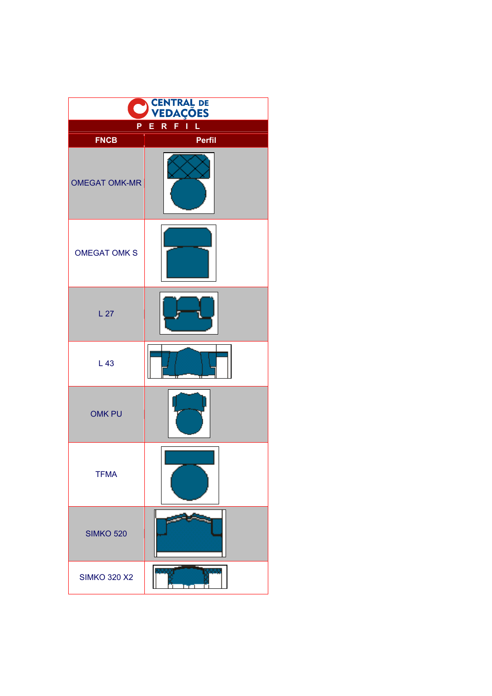|                            | <b>CENTRAL DE</b><br><b>VEDAÇÕES</b> |
|----------------------------|--------------------------------------|
| Ĺ<br>R<br>ī<br>E<br>Ρ<br>F |                                      |
| <b>FNCB</b>                | Perfil                               |
| <b>OMEGAT OMK-MR</b>       |                                      |
| <b>OMEGAT OMK S</b>        |                                      |
| L <sub>27</sub>            |                                      |
| L43                        |                                      |
| <b>OMK PU</b>              |                                      |
| <b>TFMA</b>                |                                      |
| <b>SIMKO 520</b>           |                                      |
| <b>SIMKO 320 X2</b>        |                                      |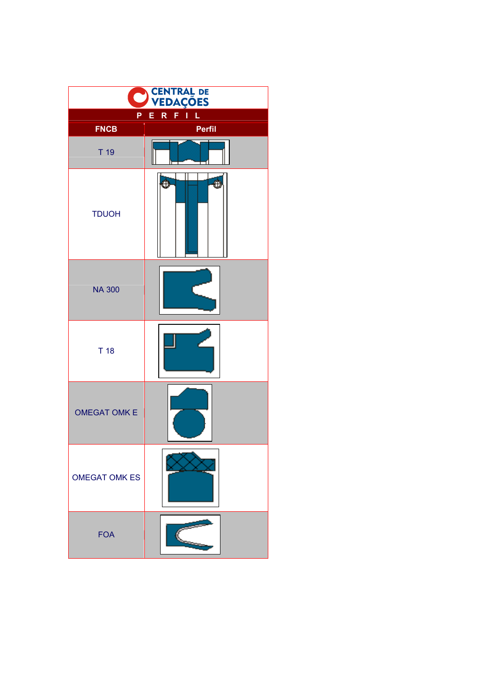| <b>CENTRAL DE</b><br><b>VEDAÇÕES</b> |                       |
|--------------------------------------|-----------------------|
| P                                    | R<br>Ĺ<br>Ï<br>E<br>F |
| <b>FNCB</b>                          | Perfil                |
| T <sub>19</sub>                      |                       |
| <b>TDUOH</b>                         | \$<br>Ò               |
| <b>NA 300</b>                        |                       |
| T <sub>18</sub>                      |                       |
| <b>OMEGAT OMK E</b>                  |                       |
| <b>OMEGAT OMK ES</b>                 |                       |
| <b>FOA</b>                           |                       |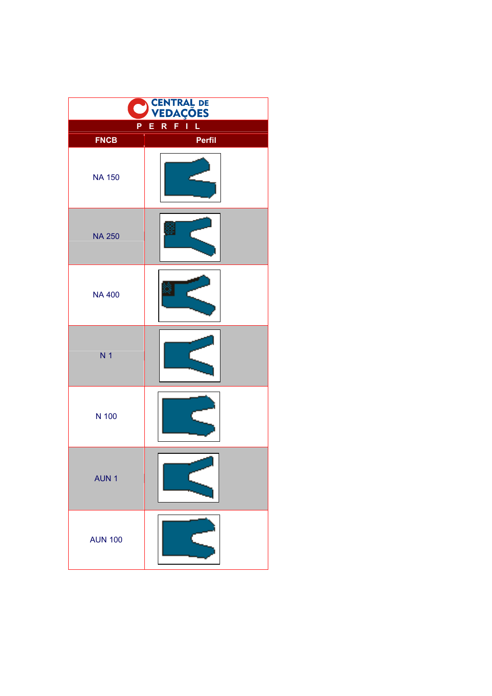| <b>CENTRAL DE<br/>VEDAÇÕES</b> |                       |  |
|--------------------------------|-----------------------|--|
| P                              | R<br>Ĺ<br>E<br>I<br>F |  |
| <b>FNCB</b>                    | Perfil                |  |
| <b>NA 150</b>                  |                       |  |
| <b>NA 250</b>                  |                       |  |
| <b>NA 400</b>                  |                       |  |
| N <sub>1</sub>                 |                       |  |
| N 100                          |                       |  |
| AUN <sub>1</sub>               |                       |  |
| <b>AUN 100</b>                 |                       |  |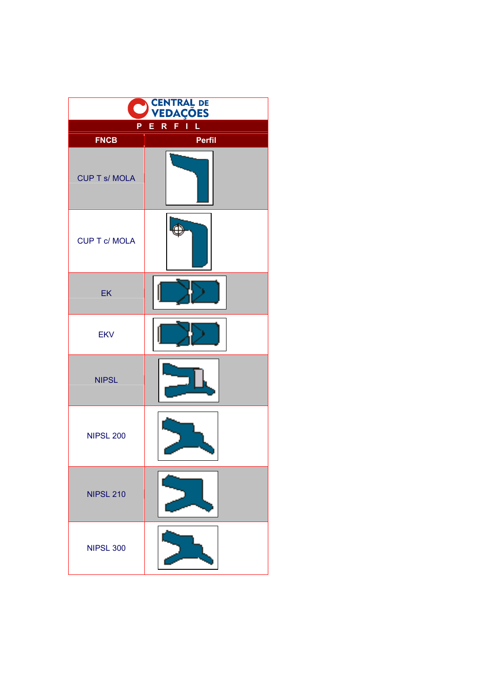|                      | <b>CENTRAL DE<br/>VEDAÇÕES</b> |
|----------------------|--------------------------------|
| P                    | Ĺ<br>R<br>Е<br>F<br>ı          |
| <b>FNCB</b>          | Perfil                         |
| <b>CUP T s/ MOLA</b> |                                |
| <b>CUP T c/ MOLA</b> |                                |
| EK                   |                                |
| <b>EKV</b>           |                                |
| <b>NIPSL</b>         |                                |
| <b>NIPSL 200</b>     |                                |
| <b>NIPSL 210</b>     |                                |
| <b>NIPSL 300</b>     |                                |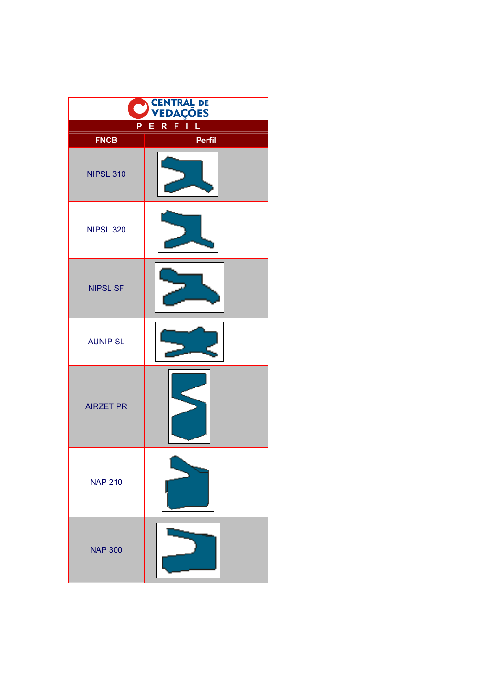|                  | <b>CENTRAL DE</b><br><b>VEDAÇÕES</b> |  |
|------------------|--------------------------------------|--|
| Ρ                | Ĺ<br>R<br>ī<br>E<br>F                |  |
| <b>FNCB</b>      | Perfil                               |  |
| <b>NIPSL 310</b> |                                      |  |
| <b>NIPSL 320</b> |                                      |  |
| <b>NIPSL SF</b>  |                                      |  |
| <b>AUNIP SL</b>  |                                      |  |
| <b>AIRZET PR</b> |                                      |  |
| <b>NAP 210</b>   |                                      |  |
| <b>NAP 300</b>   |                                      |  |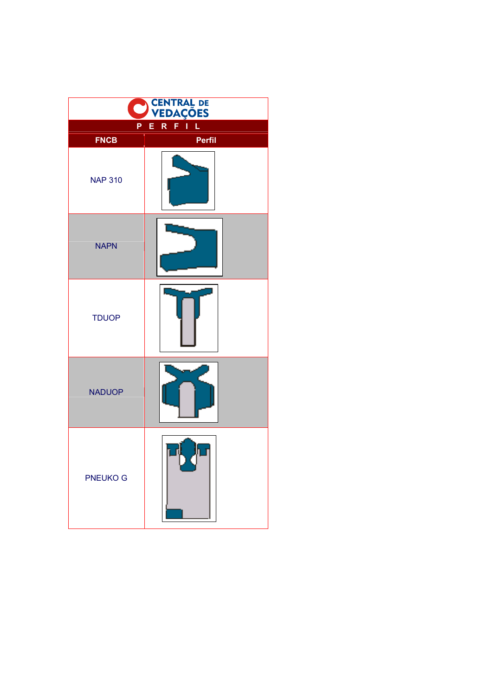| <b>CENTRAL DE</b><br><b>VEDAÇÕES</b> |                                             |
|--------------------------------------|---------------------------------------------|
| P                                    | $\overline{\mathsf{R}}$<br>Ĺ<br>Ë<br>ī<br>F |
| <b>FNCB</b>                          | <b>Perfil</b>                               |
| <b>NAP 310</b>                       |                                             |
| <b>NAPN</b>                          |                                             |
| <b>TDUOP</b>                         |                                             |
| <b>NADUOP</b>                        |                                             |
| <b>PNEUKO G</b>                      |                                             |